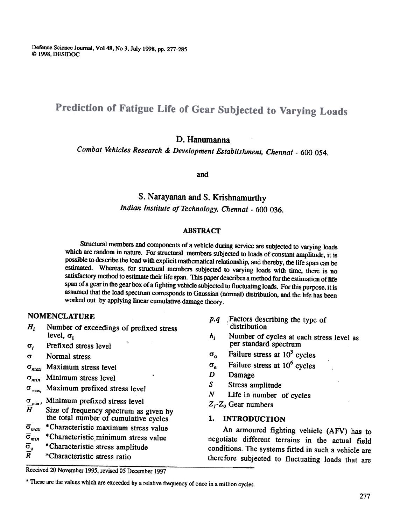Defence Science Journal, Vo148, No 3, July 1998, pp. 277-285 © 1998, DESIDOC

# Prediction of Fatigue Life of Gear Subjected to Varying Loads

## D. Hanumanna

Combat Vehicles Research & Development Establishment, Chennai -600 054.

and

# S. Narayanan and S. Krishnamurthy Indian Institute of Technology, Chennai -600 036.

#### ABSTRACT

structuml members and components of a vehicle during service are subjected to varying loads which are random in nature. For structural members subjected to loads of constant amplitude, it is possible to describe the load with explicit mathematical relationship, and thereby, the life span can be estimated. Whereas, for structural members subjected to varying loads with time, there is no satisfactory method to estimate their life span. This paper describes a method for the estimation of life span of a gear in the gear box of a fighting vehicle subjected to fluctuating loads. For this purpose, it is assumed that the load spectrum corresponds to Gaussian (nonnal) distribution, and the life has been worked out by applying linear cumulative damage theory.

#### NOMENCLATURE

- $H_i$  Number of exceedings of prefixed stress level,  $\sigma_i$
- $\sigma_i$  Prefixed stress level
- 0" Normal stress
- $\sigma_{max}$  Maximum stress level
- $\sigma_{min}$  Minimum stress level
- Maximum prefixed stress level  $\sigma_{\text{max}}$
- $\sigma_{\min i}$  Minimum prefixed stress level<br> $\overline{H}$  Size of frequency spectrum as
- Size of frequency spectrum as given by the total number of cumulative cycles
- $\bar{\sigma}_{max}$  \*Characteristic maximum stress value
- $\bar{\sigma}_{min}$  \*Characteristic minimum stress value
- $\overline{\sigma}_{o}$  \* Characteristic stress amplitude
- $\overline{R}$  \*Characteristic stress ratio
- $p, q$  . Factors describing the type of distribution
- $h_i$  Number of cycles at each stress level as per standard spectrum
- $\sigma_o$  Failure stress at 10<sup>3</sup> cycles
- $\sigma_e$  Failure stress at 10<sup>6</sup> cycles
- D Damage
- $S$  Stress amplitude
- $N$  Life in number of cycles
- $Z_I$ - $Z_Q$  Gear numbers

#### I. INTRODUCTION

An armoured fighting vehicle (AFV) has to negotiate different terrains in the actual field conditions. The systems fitted in such a vehicle are therefore subjected to fluctuating loads that are

Received 20 November 1995. revised 05 December 1997

<sup>\*</sup> These are the values which are exceeded by a relative frequency of once in a million cycles.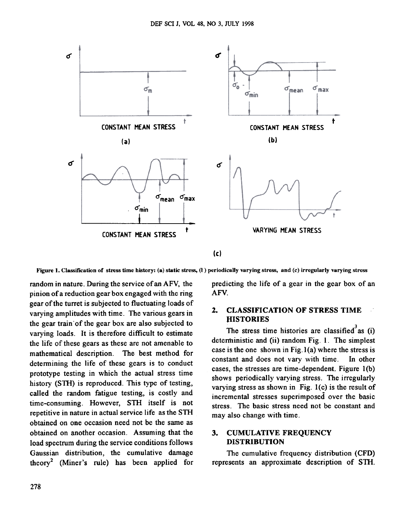

Figure 1. Classification of stress time history: (a) static stress, (l ) periodically varying stress, and (c) irregularly varying stress

random in nature. During the service of an AFV, the pinion of a reduction gear box engaged with the ring gear of the turret is subjected to fluctuating loads of varying amplitudes with time. The various gears in the gear train of the gear box are also subjected to varying loads. It is therefore difficult to estimate the life of these gears as these are not amenable to mathematical description. The best method for determining the life of these gears is to conduct prototype testing in which the actual stress time history (STH) is reproduced. This type of testing, called the random fatigue testing, is costly and time-consuming. However, STH itself is not repetitive in nature in actual service life as the STH obtained on one occasion need not be the same as obtained on another occasion. Assuming that the load spectrum during the service conditions follows Gaussian distribution, the cumulative damage theory<sup>2</sup> (Miner's rule) has been applied for predicting the life of a gear in the gear box of an AFV.

#### 2. CLASSIFICATION OF STRESS TIME }lISTORIES

The stress time histories are classified as  $(i)$ detenninistic and (ii) random Fig. I. The simplest case is the one shown in Fig.1 (a) where the stress is constant and does not vary with time. In other cases, the stresses are time-dependent. Figure I(b) shows periodically varying stress. The irregularly varying stress as shown in Fig.  $l(c)$  is the result of incremental stresses superimposed over the basic stress. The basic stress need not be constant and may also change with time.

## 3. CUMULATIVE FREQUENCY DISTRIBUTION

The cumulative frequency distribution (CFD) represents an approximate description of S1H.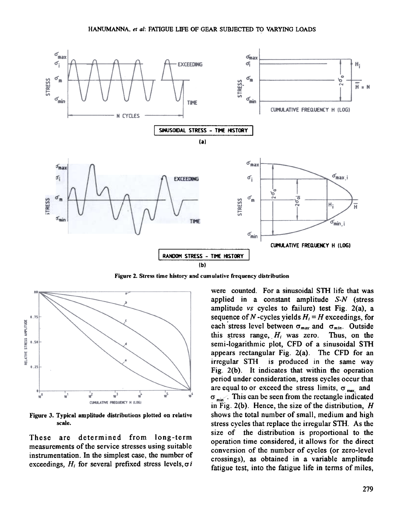

Figure 2. Stress time history and cumulative frequency distribution



Figure 3. Typical amplitude distributions plotted on relative scale.

These are determined from long-term measurements of the service stresses using suitable instrumentation. In the simplest case, the number of exceedings,  $H_i$  for several prefixed stress levels,  $\sigma i$ 

were counted. For a sinusoidal STH life that was applied in a constant amplitude S-N (stress amplitude vs cycles to failure) test Fig. 2(a), a sequence of N-cycles yields  $H_i = H$  exceedings, for each stress level between  $\sigma_{max}$  and  $\sigma_{min}$ . Outside this stress range,  $H_i$  was zero. Thus, on the semi-logarithmic plot, CFD of a sinusoidal STH appears rectangular Fig. 2(a). The CFD for an irregular STH is produced in the same way Fig. 2(b). It indicates that within the operation period under consideration, stress cycles occur that are equal to or exceed the stress limits,  $\sigma_{\text{max}}$  and  $\sigma_{\min}$ . This can be seen from the rectangle indicated in Fig. 2(b). Hence, the size of the distribution,  $H$ shows the total number of small, medium and high stress cycles that replace the irregular STH. As the size of the distribution is proportional to the operation time considered, it allows for the direct conversion of the number of cycles (or zero-level crossings), as obtained in a variable amplitude fatigue test, into the fatigue life in terms of miles,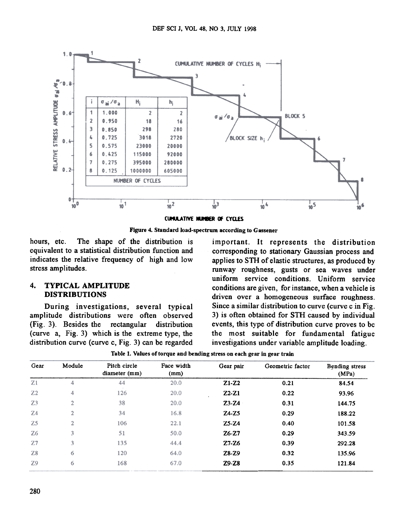

CUMULATIVE NUMBER OF CYCLES

Figure 4. Standard load-spectrum according to Gassener

hours, etc. The shape of the distribution is important. It represents the distribution equivalent to a statistical distribution function and corresponding to stationary Gaussian process and indicates the relative frequency of high and low applies to STH of elastic structures, as produced by

amplitude distributions were often observed 3) is often obtained for STH caused by individual (Fig. 3). Besides the rectangular distribution events, this type of distribution curve proves to be (curve a, Fig. 3) which is the extreme type, the the most suitable for fundamental fatigue distribution curve (curve c, Fig. 3) can be regarded investigations under variable amplitude loading.

stress amplitudes. The stress amplitudes. The stress amplitudes of sea waves under uniform service conditions. Uniform service 4. TYPICAL AMPLITUDE conditions are given, for instance, when a vehicle is DISTRIBUTIONS driven over a homogeneous surface roughness. During investigations, several typical Since a similar distribution to curve (curve c in Fig.

| Gear           | Module       | Pitch circle<br>diameter (mm) | Face width<br>(mm) | Gear pair | Geometric factor | Bending stress<br>(MPa) |
|----------------|--------------|-------------------------------|--------------------|-----------|------------------|-------------------------|
| Z1             | 4            | 44                            | 20.0               | $Z1-Z2$   | 0.21             | 84.54                   |
| Z <sub>2</sub> | 4            | 126                           | 20.0               | $Z2-Z1$   | 0.22             | 93.96                   |
| Z <sub>3</sub> | $\mathbf{2}$ | 38                            | 20.0               | $Z3-Z4$   | 0.31             | 144.75                  |
| Z <sub>4</sub> | $\mathbf{2}$ | 34                            | 16.8               | $24-25$   | 0.29             | 188.22                  |
| Z <sub>5</sub> | $\mathbf{2}$ | 106                           | 22.1               | $Z5-Z4$   | 0.40             | 101.58                  |
| <b>Z6</b>      | 3            | 51                            | 50.0               | $Z6-Z7$   | 0.29             | 343.59                  |
| Z <sub>7</sub> | 3            | 135                           | 44.4               | $Z7 - Z6$ | 0.39             | 292.28                  |
| Z8             | 6            | 120                           | 64.0               | Z8-Z9     | 0.32             | 135.96                  |
| Z9             | 6            | 168                           | 67.0               | $Z9-Z8$   | 0.35             | 121.84                  |

Table 1. Values of torque and bending stress on each gear in gear train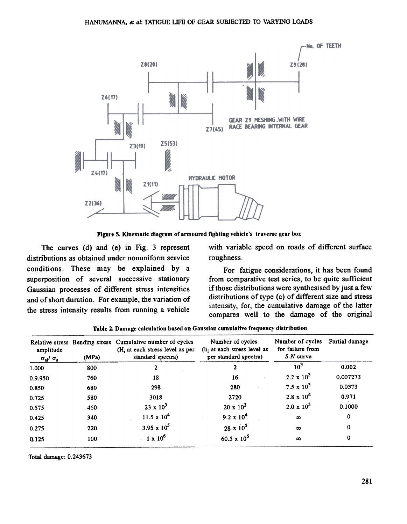

Figure 5. Kinematic diagram of armoured fighting vehicle's traverse gear box

The curves (d) and (e) in Fig. 3 represent distributions as obtained under nonuniform service conditions. These may be explained by a superposition of several successive stationary Gaussian processes of different stress intensities and of short duration. For example, the variation of the stress intensity results from running a vehicle

with variable speed on roads of different surface roughness.

For fatigue considerations, it has been found from comparative test series, to be quite sufficient if those distributions were synthesised by just a few distributions of type (c) of different size and stress intensity, for, the cumulative damage of the latter compares well to the damage of the original

| amplitude<br>$\sigma_{ai}/\sigma_a$ | (MPa) | Relative stress Bending stress Cumulative number of cycles<br>$(Hi$ at each stress level as per<br>standard spectra) | Number of cycles<br>(h, at each stress level as<br>per standard spectra) | Number of cycles<br>for failure from<br>$S-N$ curve | Partial damage |
|-------------------------------------|-------|----------------------------------------------------------------------------------------------------------------------|--------------------------------------------------------------------------|-----------------------------------------------------|----------------|
| 1.000                               | 800   | 2                                                                                                                    | 2                                                                        | 10 <sup>3</sup>                                     | 0.002          |
| 0.9.950                             | 760   | 18                                                                                                                   | 16                                                                       | $2.2 \times 10^{3}$                                 | 0.007273       |
| 0.850                               | 680   | 298                                                                                                                  | 280                                                                      | $7.5 \times 10^3$                                   | 0.0373         |
| 0.725                               | 580   | 3018                                                                                                                 | 2720                                                                     | $2.8 \times 10^{4}$                                 | 0.971          |
| 0.575                               | 460   | $23 \times 10^3$                                                                                                     | $20 \times 10^3$                                                         | $2.0 \times 10^5$                                   | 0.1000         |
| 0.425                               | 340   | 11.5 x $10^4$                                                                                                        | $9.2 \times 10^{4}$                                                      | $\infty$                                            | 0              |
| 0.275                               | 220   | 3.95 x $10^5$                                                                                                        | $28 \times 10^5$                                                         | $\infty$                                            | 0              |
| 0.125                               | 100   | $1 \times 10^6$                                                                                                      | 60.5 x $10^5$                                                            | $\infty$                                            | $\bf{0}$       |

Table 2. Damage calculation based on Gaussian cumulative frequency distribution

Total damage: 0.243673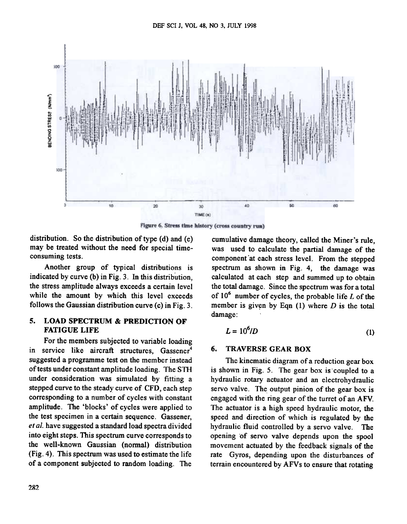

Figure 6. Stress time history (cross country run)

distribution. So the distribution of type  $(d)$  and  $(e)$ may be treated without the need for special timeconsuming tests.

Another group of typical distributions is indicated by curve (b) in Fig. 3. In this distribution, the stress amplitude always exceeds a certain level while the amount by which this level exceeds follows the Gaussian distribution curve (c) in Fig. 3.

#### 5. LOAD SPECTRUM & PREDICTION OF FATIGUE LIFE

For the members subjected to variable loading in service like aircraft structures, Gassener<sup>4</sup> suggested a programme test on the member instead of tests under constant amplitude loading. The STH under consideration was simulated by fitting a stepped curve to the steady curve of CFD, each step corresponding to a number of cycles with constant amplitude. The 'blocks' of cycles were applied to the test specimen in a certain sequence. Gassener, et al. have suggested a standard load spectra divided into eight steps. This spectrum curve corresponds to the well-known Gaussian (normal) distribution (Fig.4). This spectrum was used to estimate the life of a component subjected to random loading. The

cumulative damage theory, called the Miner's rule, was used to calculate the partial damage of the component at each stress level. From the stepped spectrum as shown in Fig. 4, the damage was calculated at each step and summed up to obtain the total damage. Since the spectrum was for a total of  $10^6$  number of cycles, the probable life L of the member is given by Eqn  $(1)$  where D is the total damage :

$$
L = 10^6/D \tag{1}
$$

#### 6. TRAVERSE GEAR BOX

The kinematic diagram of a reduction gear box is shown in Fig. 5. The gear box is coupled to a hydraulic rotary actuator and an electrohydraulic servo valve. The output pinion of the gear box is engaged with the ring gear of the turret of an AFV. The actuator is a high speed hydraulic motor, the speed and direction of which is regulated by the hydraulic fluid controlled by a servo valve. The opening 'of servo valve depends upon the spool movement actuated by the feedback signals of the rate Gyros, depending upon the disturbances of terrain encountered by AFVs to ensure that rotating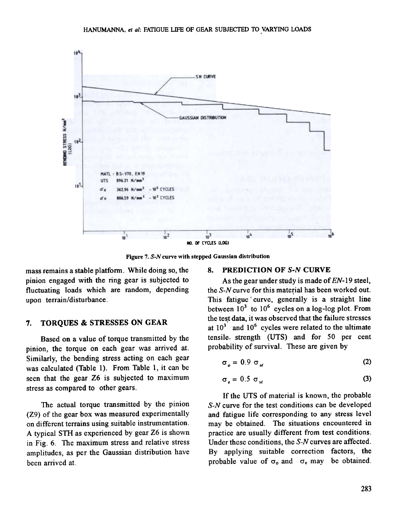

Figure 7. S-N curve with stepped Gaussian distribution

mass remains a stable platform. While doing so., the pinion engaged with the ring gear is subjected to fluctuating loads which are random, depending upon terrain/disturbance.

#### 7. TORQUES & STRESSES ON GEAR

Based on a value of torque transmitted by the pinion, the torque on each gear was arrived at. Similarly, the bending stress acting on each gear was calculated (Table I). From Table 1, it can be seen that the gear Z6 is subjected to maximum stress as compared to other gears.

The actual torque transmitted by the pinion (Z9) of the gear box was measured experimentally on different terrains using suitable instrumentation. A typical STH as experienced by gear Z6 is shown in Fig. 6. The maximum stress and relative stress amplitudes, as per the Gaussian distribution have been arrived at.

#### 8. PREDICTION OF S-N CURVE

As the gear under study is made of  $EN-19$  steel, the  $S-N$  curve for this material has been worked out. This fatigue curve, generally is a straight line between  $10^3$  to  $10^6$  cycles on a log-log plot. From the test data, it was observed that the failure stresses at  $10^3$  and  $10^6$  cycles were related to the ultimate tensile. strength (UTS) and for 50 per cent probability of survival. These are given by

$$
\sigma_o = 0.9 \sigma_{\mu l} \tag{2}
$$

$$
\sigma_e = 0.5 \sigma_u \tag{3}
$$

If the UTS of material is known, the probable S-N curve for the test conditions can be developed and fatigue life corresponding to any stress level may be obtained. The situations encountered in practice are usually different from test conditions. Under these conditions, the S-N curves are affected. By applying suitable correction factors, the probable value of  $\sigma_0$  and  $\sigma_1$  may be obtained.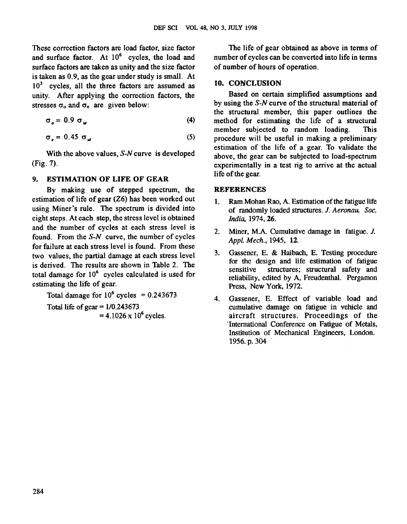These correction factors are load factor, size factor and surface factor. At  $10^6$  cycles, the load and surface factors are taken as unity and the size factor is taken as 0.9, as the gear under study is small. At  $10<sup>3</sup>$  cycles, all the three factors are assumed as unity. After applying the correction factors, the stresses  $\sigma_o$  and  $\sigma_e$  are given below:

$$
\sigma_o = 0.9 \sigma_u \tag{4}
$$

$$
\sigma_e = 0.45 \sigma_w \tag{5}
$$

With the above values, S-N curve is developed (Fig. 7).

#### 9. ESTIMATION OF LIFE OF GEAR

By making use of stepped spectrum, the estimation of life of gear (Z6) has been worked out using Miner's rule. The spectrum is divided into eight steps. At each step, the stress level is obtained and the number of cycles at each stress level is found. From the S-N curve, the number of cycles for failure at each stress level is found. From these two values, the partial damage at each stress level is derived. The results are shown in Table 2. The total damage for  $10<sup>6</sup>$  cycles calculated is used for estimating the life of gear.

Total damage for  $10^6$  cycles = 0.243673 Total life of gear  $= 1/0.243673$  $= 4.1026 \times 10^6$  cycles.

The life of gear obtained as above in terms of number of cycles can be converted into life in terms of number of hours of operation.

#### 10. CONCLUSION

Based on certain simplified assumptions and by using the S-N curve of the structural material of the structural member, this paper outlines the method for estimating the life of a structural member subjected to random loading. This procedure will be useful in making a preliminary estimation of the life of a gear. To validate the above, the gear can be subjected to load-spectrum experimentally in a test rig to arrive at the actual life of the gear.

#### **REFERENCES**

- 1. Ram Mohan Rao, A. Estimation of the fatigue life of randomly loaded structures. J. Aeronau. Soc. India, 1974, 26.
- 2. Miner, M.A. Cumulative damage in fatigue. J. Appl. Mech., 1945, 12.
- 3. Gassener, E. & Haibach, E. Testing procedure for the design and life estimation of fatigue sensitive structures; structural safety and reliability, edited by A, Freudenthal. Pergamon Press, New York. 1972.
- 4. Gassener, E. Effect of variable load and cumulative damage on fatigue in vehicle and aircraft structures. Proceedings of the International Conference on Fatigue of Metals, Institution of Mechanical Engineers, London. 1956. p. 304 .